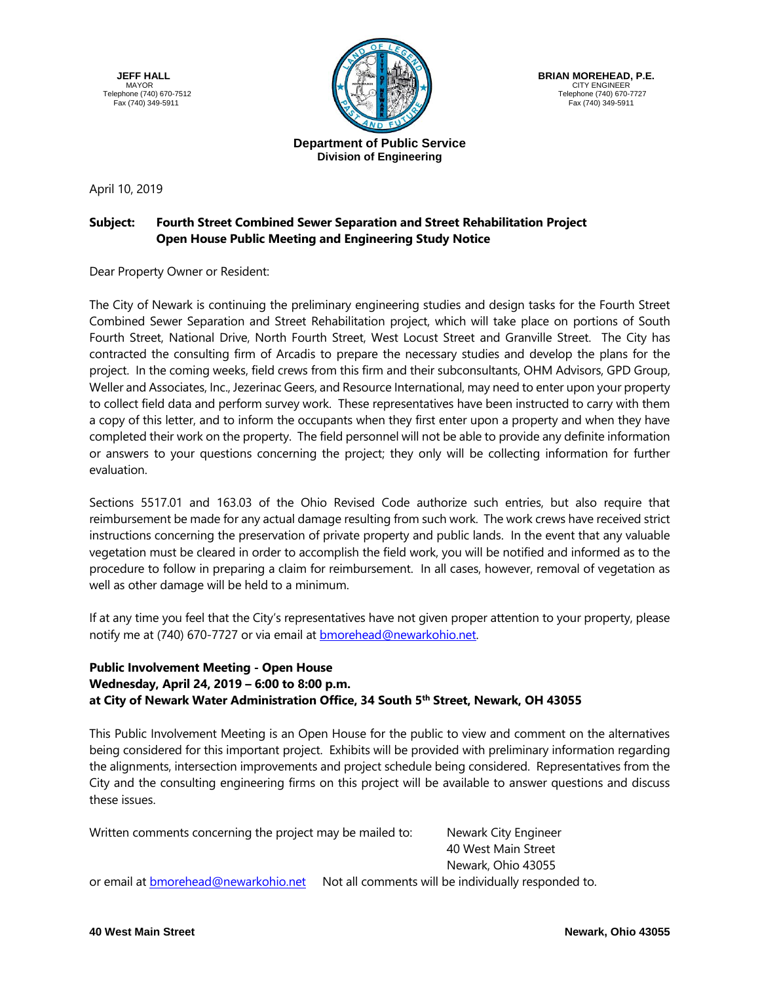**JEFF HALL** MAYOR Telephone (740) 670-7512 Fax (740) 349-5911



 **BRIAN MOREHEAD, P.E.** CITY ENGINEER Telephone (740) 670-7727 Fax (740) 349-5911

## **Department of Public Service Division of Engineering**

April 10, 2019

## **Subject: Fourth Street Combined Sewer Separation and Street Rehabilitation Project Open House Public Meeting and Engineering Study Notice**

Dear Property Owner or Resident:

The City of Newark is continuing the preliminary engineering studies and design tasks for the Fourth Street Combined Sewer Separation and Street Rehabilitation project, which will take place on portions of South Fourth Street, National Drive, North Fourth Street, West Locust Street and Granville Street. The City has contracted the consulting firm of Arcadis to prepare the necessary studies and develop the plans for the project. In the coming weeks, field crews from this firm and their subconsultants, OHM Advisors, GPD Group, Weller and Associates, Inc., Jezerinac Geers, and Resource International, may need to enter upon your property to collect field data and perform survey work. These representatives have been instructed to carry with them a copy of this letter, and to inform the occupants when they first enter upon a property and when they have completed their work on the property. The field personnel will not be able to provide any definite information or answers to your questions concerning the project; they only will be collecting information for further evaluation.

Sections 5517.01 and 163.03 of the Ohio Revised Code authorize such entries, but also require that reimbursement be made for any actual damage resulting from such work. The work crews have received strict instructions concerning the preservation of private property and public lands. In the event that any valuable vegetation must be cleared in order to accomplish the field work, you will be notified and informed as to the procedure to follow in preparing a claim for reimbursement. In all cases, however, removal of vegetation as well as other damage will be held to a minimum.

If at any time you feel that the City's representatives have not given proper attention to your property, please notify me at (740) 670-7727 or via email at **bmorehead@newarkohio.net**.

## **Public Involvement Meeting - Open House Wednesday, April 24, 2019 – 6:00 to 8:00 p.m. at City of Newark Water Administration Office, 34 South 5th Street, Newark, OH 43055**

This Public Involvement Meeting is an Open House for the public to view and comment on the alternatives being considered for this important project. Exhibits will be provided with preliminary information regarding the alignments, intersection improvements and project schedule being considered. Representatives from the City and the consulting engineering firms on this project will be available to answer questions and discuss these issues.

Written comments concerning the project may be mailed to: Newark City Engineer

40 West Main Street Newark, Ohio 43055

or email at [bmorehead@newarkohio.net](mailto:bmorehead@newarkohio.net) Not all comments will be individually responded to.